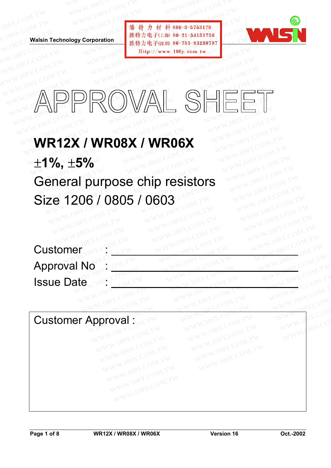**WALSIN Technology Corporation** 

WWW.100Y.COM.TW WWW.100Y.COM.TW WWW.100Y.COM<br>100Y.COM.TW WWW.100Y.COM.TW WWW.100Y.COM<br>100Y.COM.TW WWW.100Y.COM.TW MWW.100Y.CO WWW.100Y.COM.TW WWW.100Y.COM.TW WWW.100Y.COM<br>100Y.COM.TW WWW.100Y.COM.TW WWW.100Y.COM<br>W.100Y.COM.TW **Walsin Technology Corporation** 胜特力电子(比海) 86-755-83298787 **WWW.100Y.COM.TW WWW.100Y.COM.TW WWW.100Y.COM.TW WWW.100Y.COM.TW WWW.100Y.COM.TW WWW.100Y.COM.TW WWW.100Y.COM.TW WWW.100Y.COM.TW WWW.100Y.COM.TW** WWW.100Y.COM.TW WWW.100Y.COM.TW WWW.100Y.COM.TW WWW.100Y.COM.TW WWW.100Y.COM.TW WWW.100Y.COM.TW WWW.100Y.COM.TW WWW.100Y.COM.TW WWW.100Y.COM.TW WWW.100Y.COM.TW WWW.100Y.COM.TW WWW.100Y.COM.TW WWW.100Y.COM.TW WWW.100Y.COM. **WWW.100Y.COM.TW WWW.100Y.COM.TW WWW.100Y.COM.TW**



### **WWW.100Y.COM.TW WWW.100Y.COM.TW WWW.100Y.COM.TW WWW.100Y.COM.TW WWW.100Y.COM.TW WWW.100Y.COM.TW WWW.100Y.COM.TW WWW.100Y.COM.TW WWW.100Y.COM.TW WWW.100Y.COM.TW WWW.100Y.COM.TW WWW.100Y.COM.TW** WR12X / WR08X / WR06X **WALSHEE WHEE**

### **WR12X / WR08X / WR06X**  ±**1%,** ±**5%**  General purpose chip resistors Size 1206 / 0805 / 0603 **APPROVAL SHEET**<br> **WR12X/WR08X/WR06X**<br> **±1%, ±5%** APPROWAL SHEE!<br>
WR12X / WR08X / WR06X<br>±1%, ±5%<br>General purpose chip resistors **WATHERRY WARD AND THE UNITER UP IN A WATHER WITH THE UP IT A WARD OF THE UP IT A WARD OF THE UP IT A WARD OF T<br>The Seneral purpose chip resistors<br>The Margaret Company of The Company of The Common Seneral Property of The C WR12X / WR08X / WR06X<br>1%, ±5%<br>Beneral purpose chip resistors<br>Size 1206 / 0805 / 0603 R12X / WR08X / WR06X**<br>%, ±5%<br>aneral purpose chip resistors<br>ze 1206 / 0805 / 0603 WWW.100Y.COM.TW **WWW.100Y.COM.TW WWW.100Y.COM.TW WWW.100Y.COM.TW WWW.100Y.COM.TW WWW.100Y.COM.TW WWW.100Y.COM.TW WWW.100Y.COM.TW WWW.100Y.COM.TW WWW.100Y.COM.TW WWW.100Y.COM.TW WWW.100Y.COM.TW WWW.100Y.COM.TW WWW.100Y.COM. Example 2008 / 0805 / 0603 WWW.100Y.COM.TW WWW.100Y.COM.TW PRESSIONS**

|                                            | WWW.                                                      |
|--------------------------------------------|-----------------------------------------------------------|
| <b>Customer Approval:</b><br>TEN 100Y.CON. | General purpose chip resistors<br>Size 1206 / 0805 / 0603 |

Customer Approval : WWW.100Y.COM.TW WWW.100Y.COM.TW WWW.100Y.COM.TW WWW.100Y.COM.TW WWW.100Y.COM<br>
WANDON:COM.TW WWW.100Y.COM.TW WWW.100Y.COM<br>
W.100Y.COM.TW WWW.100Y.COM.TW WWW.100Y.COM<br>
W.100Y.COM.TW WWW.100Y.COM.TW WWW.100Y.COM<br>
WWW.100Y.COM **COMPANY ANTENT WWW.100Y.COM.TW WWW.100Y.COM.TW WWW.100Y.COM.TW WWW.100Y.COM.TW WWW.100Y.COM.TW WWW.100Y.COM.TW WWW.100Y.COM.TW WWW.100Y.COM.TW WWW.100Y.COM.TW WWW.100Y.COM.TW WWW.100Y.COM.TW WWW.100Y.COM.TW WWW.100Y.COM.T WWW.100X.COM.TW WWW.100X.COM.TW WWW.100X.COM.TW WWW.100X.COM.TW WWW.100X.COM.TW WWW.100X.COM.TW WWW.100X.COM.TW WWW.100X.COM.TW WWW.100X.COM.TW WWW.100X.COM.TW WWW.100X.COM.TW WWW.100X.COM**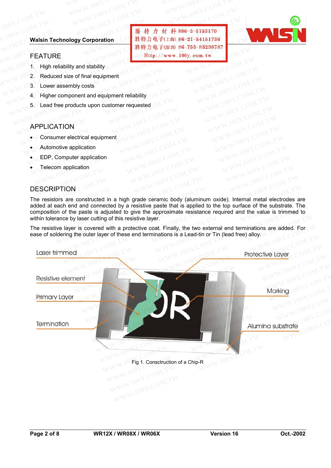### **Walsin Technology Corporation** WWW.100Y.COM.TW WWW.100Y.COM.TW WWW.100Y.COM WWW.100Y.COM.TW WWW.100Y.COM.TW WWW.100Y.COM<br>100Y.COM.TW WWW.100Y.COM.TW WWW.100Y.COM<br>W.100Y.COM.TW **Walsin Technology Corporation** COM.TW WWW.100Y.COM **WWW.100Y.COM.TW WWW.100Y.COM.TW WWW.100Y.COM.TW WWW.100Y.COM.TW WWW.100Y.COM.TW WWW.100Y.COM.TW** WWW.100Y.COM.TW WWW.100Y.COM.TW WWW.100Y.COM.TW WWW.100Y.COM.TW<br>100Y.COM.TW WWW.100Y.COM.TW <br>1.00Y.COM.TW WWW.100Y.COM.TW <br>1.00Y.Com.TW WWW.100Y.COM.TW B 36-3-5753170<br>
PHETCHE Http://www.100y.com.tw Hitp..................

### FEATURE

- 1. High reliability and stability
- 2. Reduced size of final equipment **WWW.100Y.COM.TW WWW.100Y.COM.TW WWW.100Y.COM.TW WWW.100Y.COM.TW WWW.100Y.COM.TW WWW.100Y.COM.TW**
	- 3. Lower assembly costs
	- 4. Higher component and equipment reliability **WWW.100Y.COM.TW WWW.100Y.COM.TW WWW.100Y.COM.TW**
		- 5. Lead free products upon customer requested **Walsin Technology Corporation**<br> **Walsin Technology Corporation**<br>
		<br>
		<br>
		EEATURE<br>
		1. High reliability and stability<br>
		2. Reduced size of final equipment<br>
		3. Lower assembly costs<br>
		4. Higher component and equipment reliability<br> **Walsin Technology Corporation**<br> **WALSING MEXALUATE**<br>
		1. High reliability and stability<br>
		2. Reduced size of final equipment<br>
		3. Lower assembly costs<br>
		4. Higher component and equipment reliability<br>
		5. Lead free products up EXAMPLE 1. High reliability and stability<br>
		1. High reliability and stability<br>
		2. Reduced size of final equipment<br>
		3. Lower assembly costs<br>
		4. Higher component and equipment reliability<br>
		5. Lead free products upon customer **Exhibitive and stability and stability and stability and stability and stability on a complement of COM. The complement of COM. The complement of COM. The complement of COM. The complement of COM. The complement of COM. T Example Statistical departicular and Statistical department of the MANUS COM.TW COM.TW COM.TW COM.TW COM.TW COM.TW COM.TW COM.TW COM.TW COM.TW COM.TW COM.TW COM.TW COM.TW COM.TW COM.TW COM.TW COM.TW COM.TW COM.TW COM.TW C EXAMPLE COMPRESS COMPRESS**<br> **WWW.100Y.COM.TW**<br> **EXAMPLE COMPRESS COMPRESS**<br> **EXAMPLE COMPRESS COMPRESS**<br> **APPLICATION**<br>
		• Consumer electrical equipment<br>
		• COMPRESS COMPRESS COMPRESS COMPRESS COMPRESS COMPRESS COMPRESS COM **EXAMPLICATION**<br> **EXAMPLICATION**<br> **EXAMPLICATION**<br> **EXAMPLICATION**<br> **EXAMPLICATION**<br> **EXAMPLICATION**<br> **EXAMPLICATION**<br> **EXAMPLICATION**<br> **EXAMPLICATION**<br> **EXAMPLICATION**<br> **EXAMPLICATION**<br> **EXAMPLICATION**<br> **EXAMPLICATION**<br> **Example and equipment requested**<br> **Example products upon customer requested**<br> **PPLICATION**<br> **COM.TW 
		COM.TW PPLICATION**<br> **EDP, Computer application**<br> **EDP, Computer application**<br> **EDP, Computer application**<br> **EDP, Compute**

### APPLICATION

- Consumer electrical equipment **EDP, Computer application**<br> **EDP, Computer application**<br> **EDP, Computer application**<br> **EDP, Computer application**<br> **EDP, Computer application**<br> **EDP, Computer application**<br> **EDP, Computer application**<br> **EDP, Computer appl**
- Automotive application
- EDP, Computer application
- Telecom application

### **DESCRIPTION**

The resistors are constructed in a high grade ceramic body (aluminum oxide). Internal metal electrodes are added at each end and connected by a resistive paste that is applied to the top surface of the substrate. The composition of the paste is adjusted to give the approximate resistance required and the value is trimmed to within tolerance by laser cutting of this resistive layer. **PLICATION**<br> **COM.TW Automotive application**<br> **EDP, Computer application**<br> **EDP, Computer application**<br> **EDP, Computer application**<br> **EDP, Computer application**<br> **EDP, Computer application**<br> **EDP, Computer application**<br> **E EICATION**<br> **WWW.100Y.COM.TW PROBUTER and and connected by a resistive paste that is applied to the top surface of the subsistion of the paste is adjusted to give the approximate resistance required and the value is to the EXAMPTION COM.TW PRIPTION**<br> **WWW.100Y.COM.TW P, Computer application**<br> **EXAMPLE AND ACCOM.TW PRIPTION**<br> **EXAMPLE AND ACCOM.TW PRIPTION**<br> **EXAMPLE AND ACCOM.TW PRIPTION**<br> **EXAMPLE AND ACCOM.TW PRIPTION**<br> **EXAMPLE AND ACCOM EXERCISE AND RELEASE ASSESS AND RELEASE AND RELEASE AND RELEASE AND RELEASE AND RELEASE AND RELEASE AND RELEASE AND RELEASE AND RELEASE AND RELEASE AND RELEASE AND RELEASE AND RELEASE AND RELEASE AND RELEASE AND RELEASE A PTION**<br> **WWW.100Y.COM.TW PTION**<br> **WWW.100Y.COM.TW PTION**<br>
ors are constructed in a high grade ceramic body (aluminum oxide). Internal metal electrode<br>
acch end and connected by a resistive paste that is applied to the top **WWW.100Y.COM.TW PROVIDED TRANSPORT**<br> **WWW.100Y.COM.TW PROVIDED TRANSPORT**<br> **WWW.100Y.COM.TW PROVIDED TRANSPORT**<br> **WWW.100Y.COM.TW PROVIDED TRANSPORT**<br> **EXERCE AND A COMPLEMENT AND A COMPLEMENT AND A COMPLEMENT AND A COMPL EXECUTE:** TON are constructed in a high grade ceramic body (aluminum oxide). Internal metal electrodes at the metal and connected by a resistive paste that is applied to the top surface of the substrate. To the paste is a

The resistive layer is covered with a protective coat. Finally, the two external end terminations are added. For ease of soldering the outer layer of these end terminations is a Lead-tin or Tin (lead free) alloy.



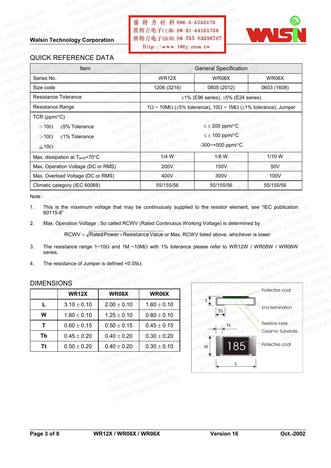# WWW.100Y.COM.TW WWW.100Y.COM.TW WWW.100Y.COM.TW WWW.100Y.COM<br>100Y.COM.TW WWW.100Y.COM **膨 特 力 材 料 886-3-5753170**<br>100Y.COM.TW WWW.100Y.COM **膨 特力 材 料 886-3-5753170** WWW.100Y.COM.TW 100Y.COM.<br>100Y.COM.TW 100Y.COM.<br>Walsin Technology Corporation / 推特力电子(E海 86-21-54151736<br>Http://www.100y.com.tw **WWW.100Y.COM.TW WWW.100Y.COM.TW WWW.100Y.COM.TW WWW.100Y.COM.TW WWW.100Y.COM.TW WWW.100Y.COM.TW**



### QUICK REFERENCE DATA

| <b>Walsin Technology Corporation</b>                                                                           | 勝特力材料886-3-5753170<br>胜特力电子(上海) 86-21-54151736<br>胜特力电子(深圳 86-755-83298787<br>Http://www.100y.com.tw |                                                                                                          |                 |
|----------------------------------------------------------------------------------------------------------------|------------------------------------------------------------------------------------------------------|----------------------------------------------------------------------------------------------------------|-----------------|
| <b>QUICK REFERENCE DATA</b>                                                                                    |                                                                                                      |                                                                                                          |                 |
| Item<br>Series No.                                                                                             | <b>WR12X</b>                                                                                         | <b>General Specification</b><br>WR08X                                                                    | WR06X           |
| Size code                                                                                                      | 1206 (3216)                                                                                          | 0805 (2012)                                                                                              | 0603 (1608)     |
| <b>Resistance Tolerance</b>                                                                                    |                                                                                                      | $\pm$ 1% (E96 series), $\pm$ 5% (E24 series)                                                             |                 |
| Resistance Range                                                                                               |                                                                                                      | $1\Omega \sim 10\text{M}\Omega$ (±5% tolerance), $10\Omega \sim 1\text{M}\Omega$ (±1% tolerance), Jumper |                 |
| TCR ( $ppm$ / $^{\circ}$ C)<br>$>10\Omega$<br>±5% Tolerance<br>$>10\Omega$<br>±1% Tolerance<br>$\leq 10\Omega$ |                                                                                                      | $\leq \pm 200$ ppm/ $\degree$ C<br>$\leq \pm 100$ ppm/ $\degree$ C<br>-300~+500 ppm/°C                   |                 |
| Max. dissipation at T <sub>amb</sub> =70°C                                                                     | $1/4$ W                                                                                              | $1/8$ W                                                                                                  | 1/10 W          |
| Max. Operation Voltage (DC or RMS)                                                                             | 200V                                                                                                 | 150V                                                                                                     | 50 <sub>V</sub> |
| Max. Overload Voltage (DC or RMS)                                                                              | 400V                                                                                                 | 300V                                                                                                     | 100V            |
| Climatic category (IEC 60068)                                                                                  | 55/155/56                                                                                            | 55/155/56                                                                                                | 55/155/56       |

- 3. The resistance range 1~10Ω and 1M ~10MΩ with 1% tolerance please refer to WR12W / WR08W / WR06W series. **WWELT BUUG8)**<br> **EXECUTE:** BUT THE MAXIMUM VIONAGE THE MAXIMUM VIOLET AND MONORATION VIOLET AND MAXIMUM VIOLET AND NOTIFIED ON<br>
THE MAXIMUM VIOLET SO Called RCWV (Rated Continuous Working Voltage) is determined by<br>
RCWV = Maximum voltage that may be continuously supplied to the resistor element, see "IEC publication<br>
tion Voltage : So called RCWV (Rated Continuous Working Voltage) is determined by<br>
WWW = √RatedPower×Resistance Value or Max Maximum voltage that may be continuously supplied to the resistor element, see "IEC publication<br>
m Voltage : So called RCWV (Rated Continuous Working Voltage) is determined by<br>
WV =  $\sqrt{\text{RatedPower} \times \text{Resistance Value}}$  or Max. RCWV liste Weltage : So called RCWV (Rated Continuous Working Voltage) is determined by<br>
V = VRatedPower × Resistance Value or Max. RCWV listed above, whichever is lower.<br>
range 1~10Ω and 1M ~10MΩ with 1% tolerance please refer to W
- 4. The resistance of Jumper is defined <0.05 $\Omega$ .

### DIMENSIONS

|           | <b>WR12X</b>    | <b>WR08X</b>    | WR06X           |
|-----------|-----------------|-----------------|-----------------|
| L         | $3.10 \pm 0.10$ | $2.00 \pm 0.10$ | $1.60 \pm 0.10$ |
| W         | $1.60 \pm 0.10$ | $1.25 \pm 0.10$ | $0.80 \pm 0.10$ |
| т         | $0.60 \pm 0.15$ | $0.50 \pm 0.15$ | $0.45 \pm 0.15$ |
| Tb        | $0.45 \pm 0.20$ | $0.40 \pm 0.20$ | $0.30 \pm 0.20$ |
| <b>Tt</b> | $0.50 \pm 0.20$ | $0.40 \pm 0.20$ | $0.30 \pm 0.10$ |

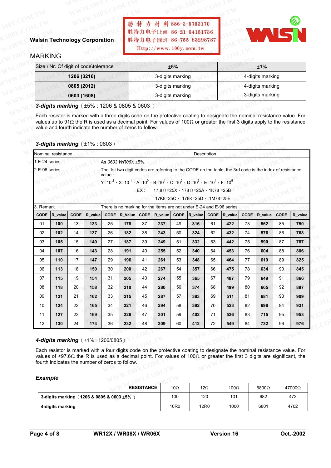# WWW.100Y.COM.TW WWW.100Y.COM.TW WWW.100Y.COM<br>100Y.COM.TW WWW.100Y.COM.TW WWW.100Y.COM<br>100Y.COM.TW WWW.100Y.COM.TW **勝 猜 力 材 料886-3-5753170** WWW.100Y.COM.TW WWW.100Y.COM.TW WWW.100Y.COM<br>100Y.COM.TW WWW.100Y.COM.TW WWW.100Y.COM<br>Walsin Technology Corporation 胜特力电子(E海) 86-21-54151736 **WWW.100Y.COM.TW WWW.100Y.COM.TW WWW.100Y.COM.TW WWW.100Y.COM.TW WWW.100Y.COM.TW WWW.100Y.COM.TW**

### **Walsin Technology Corporation**

### MARKING

| <b>Walsin Technology Corporation</b><br><b>MARKING</b>    | 勝特力材料886-3-5753170<br>胜特力电子(上海) 86-21-54151736<br>胜特力电子(深圳) 86-755-83298787<br>Http://www.100y.com.tw                                                                                                                                                                    |                  |
|-----------------------------------------------------------|--------------------------------------------------------------------------------------------------------------------------------------------------------------------------------------------------------------------------------------------------------------------------|------------------|
| Size \ Nr. Of digit of code\tolerance                     | ±5%                                                                                                                                                                                                                                                                      | ±1%              |
| 1206 (3216)                                               | 3-digits marking                                                                                                                                                                                                                                                         | 4-digits marking |
| 0805 (2012)                                               | 3-digits marking                                                                                                                                                                                                                                                         | 4-digits marking |
| 0603 (1608)                                               | 3-digits marking                                                                                                                                                                                                                                                         | 3-digits marking |
| 3-digits marking $(\pm 5\% : 1206 \& 0805 \& 0603)$       | Each resistor is marked with a three digits code on the protective coating to designate the nominal resistance value. For<br>values up to 91 $\Omega$ the R is used as a decimal point. For values of 100 $\Omega$ or greater the first 3 digits apply to the resistance |                  |
| value and fourth indicate the number of zeros to follow.  |                                                                                                                                                                                                                                                                          |                  |
| 3-digits marking $(\pm 1\% : 0603)$<br>Nominal resistance | Description                                                                                                                                                                                                                                                              |                  |

|               |                                     | 0005 (2012) |         |          |                                                                                                         |          | ə-uiyitə marking |          |                                                                                                  |             |         |             | 4-uigits marking                                                                                                                                                                                                                                                         |      |         |
|---------------|-------------------------------------|-------------|---------|----------|---------------------------------------------------------------------------------------------------------|----------|------------------|----------|--------------------------------------------------------------------------------------------------|-------------|---------|-------------|--------------------------------------------------------------------------------------------------------------------------------------------------------------------------------------------------------------------------------------------------------------------------|------|---------|
|               |                                     | 0603 (1608) |         |          |                                                                                                         |          | 3-digits marking |          |                                                                                                  |             |         |             | 3-digits marking                                                                                                                                                                                                                                                         |      |         |
|               |                                     |             |         |          | 3-digits marking $(\pm 5\% : 1206 \& 0805 \& 0603)$                                                     |          |                  |          |                                                                                                  |             |         |             |                                                                                                                                                                                                                                                                          |      |         |
|               | 3-digits marking $(\pm 1\% : 0603)$ |             |         |          | value and fourth indicate the number of zeros to follow.                                                |          |                  |          |                                                                                                  |             |         |             | Each resistor is marked with a three digits code on the protective coating to designate the nominal resistance value. For<br>values up to 91 $\Omega$ the R is used as a decimal point. For values of 100 $\Omega$ or greater the first 3 digits apply to the resistance |      |         |
|               | Nominal resistance                  |             |         |          |                                                                                                         |          |                  |          | Description                                                                                      |             |         |             |                                                                                                                                                                                                                                                                          |      |         |
| 1.E-24 series |                                     |             |         |          | As 0603 WR06X ±5%.                                                                                      |          |                  |          |                                                                                                  |             |         |             |                                                                                                                                                                                                                                                                          |      |         |
| 2.E-96 series |                                     |             |         | value :  | $Y=10^{-2}$ , $X=10^{-1}$ , $A=10^{0}$ , $B=10^{1}$ , $C=10^{2}$ , $D=10^{3}$ , $E=10^{4}$ , $F=10^{5}$ | EX:      |                  |          | $17.8\Omega$ = 25X $\cdot$ 178 $\Omega$ = 25A $\cdot$ 1K78 = 25B<br>17K8=25C, 178K=25D, 1M78=25E |             |         |             | The 1st two digit codes are referring to the CODE on the table, the 3rd code is the index of resistance                                                                                                                                                                  |      |         |
| 3. Remark     |                                     |             |         |          | There is no marking for the items are not under E-24 and E-96 series                                    |          |                  |          |                                                                                                  |             |         |             |                                                                                                                                                                                                                                                                          |      |         |
| <b>CODE</b>   | R_value                             | <b>CODE</b> | R value | CODE     | R_Value                                                                                                 |          | CODE R value     | CODE     | R value                                                                                          | <b>CODE</b> | R_value | <b>CODE</b> | R value                                                                                                                                                                                                                                                                  | CODE | R_value |
| 01            | 100                                 | 13          | 133     | 25       | 178                                                                                                     | 37       | 237              | 49       | 316                                                                                              | 61          | 422     | 73          | 562                                                                                                                                                                                                                                                                      | 85   | 750     |
| 02            | 102                                 | 14          | 137     | 26       | 182                                                                                                     | 38       | 243              | 50       | 324                                                                                              | 62          | 432     | 74          | 576                                                                                                                                                                                                                                                                      | 86   | 768     |
| 03            | 105                                 | 15          | 140     | 27       | 187                                                                                                     | 39       | 249              | 51       | 332                                                                                              | 63          | 442     | 75          | 590                                                                                                                                                                                                                                                                      | 87   | 787     |
| 04            | 107                                 | 16          | 143     | 28       | 191                                                                                                     | 40       | 255              | 52       | 340                                                                                              | 64          | 453     | 76          | 604                                                                                                                                                                                                                                                                      | 88   | 806     |
| 05            | 110                                 | 17          | 147     | 29       | 196                                                                                                     | 41       | 261              | 53       | 348                                                                                              | 65          | 464     | 77          | 619                                                                                                                                                                                                                                                                      | 89   | 825     |
| 06            | 113                                 | 18          | 150     | 30       | 200                                                                                                     | 42       | 267              | 54       | 357                                                                                              | 66          | 475     | 78          | 634                                                                                                                                                                                                                                                                      | 90   | 845     |
| 07            | 115                                 | 19          | 154     | 31       | 205                                                                                                     | 43       | 274              | 55       | 365                                                                                              | 67          | 487     | 79          | 649                                                                                                                                                                                                                                                                      | 91   | 866     |
| 08            | 118                                 | 20          | 158     | 32       | 210                                                                                                     | 44       | 280              | 56       | 374                                                                                              | 68          | 499     | 80          | 665                                                                                                                                                                                                                                                                      | 92   | 887     |
| 09            | 121                                 | 21          | 162     | 33       | 215                                                                                                     | 45       | 287              | 57       | 383                                                                                              | 69          | 511     | 81          | 681                                                                                                                                                                                                                                                                      | 93   | 909     |
| 10            | 124                                 | 22          | 165     | 34       | 221                                                                                                     | 46       | 294              | 58       | 392                                                                                              | 70          | 523     | 82          | 698                                                                                                                                                                                                                                                                      | 94   | 931     |
| 11            | 127                                 | 23          | 169     | 35<br>36 | 226                                                                                                     | 47<br>48 | 301              | 59<br>60 | 402                                                                                              | 71<br>72    | 536     | 83<br>84    | 715                                                                                                                                                                                                                                                                      | 95   | 953     |
| 12            | 130                                 | 24          | 174     |          | 232                                                                                                     |          | 309              |          | 412                                                                                              |             | 549     |             | 732                                                                                                                                                                                                                                                                      | 96   | 976     |

#### *4-digits marking*(±1% : 1206/0805)

#### *Example*

| 11             | 127 | 23 | 169 | 35                                                | 226                                                                                                                                      | 47<br>301 |             | 59 | 402 | 71         | 536          | 83 | 715          | 95 | 953    |
|----------------|-----|----|-----|---------------------------------------------------|------------------------------------------------------------------------------------------------------------------------------------------|-----------|-------------|----|-----|------------|--------------|----|--------------|----|--------|
| 12             | 130 | 24 | 174 | 36                                                | 232                                                                                                                                      | 48<br>309 |             | 60 | 412 | 72         | 549          | 84 | 732          | 96 | 976    |
|                |     |    |     | <b>4-digits marking</b> $(\pm 1\% : 1206/0805)$   |                                                                                                                                          |           |             |    |     |            |              |    |              |    |        |
|                |     |    |     |                                                   | Each resistor is marked with a four digits code on the protective coating to designate the nominal resistance value. For                 |           |             |    |     |            |              |    |              |    |        |
|                |     |    |     | fourth indicates the number of zeros to follow.   | values of <97.6 $\Omega$ the R is used as a decimal point. For values of 100 $\Omega$ or greater the first 3 digits are significant, the |           |             |    |     |            |              |    |              |    |        |
| <b>Example</b> |     |    |     |                                                   | <b>RESISTANCE</b>                                                                                                                        |           | 10 $\Omega$ |    |     | $12\Omega$ | 100 $\Omega$ |    | $6800\Omega$ |    | 47000Ω |
|                |     |    |     | 3-digits marking $(1206 \& 0805 \& 0603 \pm 5\%)$ |                                                                                                                                          |           | 100         |    |     | 120        | 101          |    | 682          |    | 473    |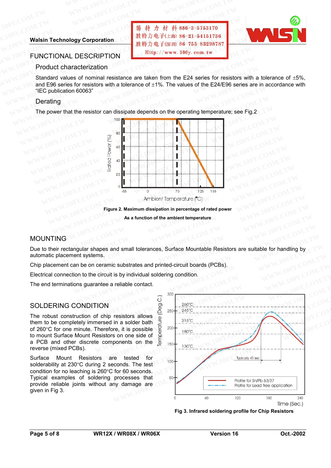### **Walsin Technology Corporation**

## WWW.100Y.COM.TW WWW.100Y.COM.TW WWW.100Y.COM.TW WWW.100Y.COM.TW WWW.100Y.COM.TW WWW.100Y.COM<br>100Y.COM.TW WWW.100Y.COM.TW WWW.100Y.COM<br>W.100Y.COM.TW **Walsin Technology Corporation** COM.TW <mark>勝 特力 材 科 886-3-5753170</mark><br>胜特力电子(上海) 86-21-54151736 **WWW.100Y.COM.TW WWW.100Y.COM.TW WWW.100Y.COM.TW** WWW.100Y.COM.TW WWW.100Y.COM.TW 100Y.COM.TW 100Y.COM.TW 100Y.COM.TW 100Y.COM.TW 100Y.COM.TW 100Y.COM.TW 100Y.COM.TW 100Y.COM.TW 100Y.COM.TW 100Y.COM.TW 100Y.COM.TW 100Y.COM.TW 100Y.COM.TW 100Y.COM.TW 100Y.COM.TW 100Y.COM. **WWW.100Y.COM.TW WWW.100Y.COM.TW WWW.100Y.COM.TW Walse The COMPUT COM.**<br> **Walse The COM.TW AND COM.**<br> **Walse The COM.TW AND COM.**<br> **Walse The COM.TW AND COM.**<br> **WALSE THE COMPUTER COMPUT COM.**<br> **WALSE THE COMPUTER COMPUTER COMPUTER COMPUTER COMPUTER COMPUTER COMPUTER C**



### FUNCTIONAL DESCRIPTION

### Product characterization

Standard values of nominal resistance are taken from the E24 series for resistors with a tolerance of ±5%, and E96 series for resistors with a tolerance of  $\pm 1\%$ . The values of the E24/E96 series are in accordance with "IEC publication 60063" **WARE ASSESS TO MARK AND MANUSE OF THE COM.**<br> **WARE THE COMPRESS TO THE COMPRESS TO THE COMPRESS TO THE COMPRESS TO THE COMPRESS TO THE COMPRESS TO THE COMPRESS TO THE COMPRESS TO THE COMPRESS TO THE COMPRESS TO THE COMPR Walsin Technology Corporation**<br> **Walsin Technology Corporation**<br>
<br>
<br> **WALERE SERIPTION**<br>
<br> **EXECRIPTION**<br>
<br>
<br> **EXECRIPTION**<br>
<br>
<br> **EXECRIPTION**<br>
<br>
<br> **EXECRIPTION**<br>
<br>
<br> **EXECRIPTION**<br>
<br> **EXECRIPTION**<br>
<br> **EXECRIPTION**<br>
<br> **E Walsin Technology Corporation**<br> **Walsin Technology Corporation**<br>
<br> **WALDESCRIPTION**<br>
<br> **WALDESCRIPTION**<br>
<br> **WALDESCRIPTION**<br>
<br> **WALDESCRIPTION**<br>
<br> **WALDESCRIPTION**<br>
<br> **WALDESCRIPTION**<br>
<br> **WALDESCRIPTION**<br>
<br> **WALDESCRIPTI Walsin Technology Corporation**<br> **Example 3** LEM 36-755-83298787<br> **EUNCTIONAL DESCRIPTION**<br>
Product characterization<br>
Standard values of nominal resistance are taken from the E24 series for resistors with a tolerance of ±1 **FUNCTIONAL DESCRIPTION**<br> **WE Product characterization**<br>
Standard values of nominal resistance are taken from the E24 series for resistors with<br>
and E96 series for resistors with a tolerance of ±1%. The values of the E24/E **Product characterization**<br>
Standard values of nominal resistance are taken from the E24 series for resistors with<br>
and E96 series for resistors with a tolerance of ±1%. The values of the E24/E96 series are<br>
"IEC publicati

### Derating

The power that the resistor can dissipate depends on the operating temperature; see Fig.2



**Figure 2. Maximum dissipation in percentage of rated power As a function of the ambient temperature** 

### MOUNTING

Due to their rectangular shapes and small tolerances, Surface Mountable Resistors are suitable for handling by automatic placement systems. **WWW.100Y.COM.**<br> **WWW.COM.**<br> **WWW.COM.**<br> **WWW.COM.**<br> **WWW.100Y.COM.TW <br>
<b>Ambient Temperature**<br> **Ambient Temperature**<br> **Ambient Temperature**<br> **Ambient Temperature**<br> **Ambient Temperature**<br> **Ambient Temperature**<br> **Ambient Tem EXECUTE: Ambient Temperature (°C)**<br> **Execution of the ambient temperature and power and straighten in percentage of rated power**<br> **As a function of the ambient temperature**<br> **As a function of the ambient temperature**<br> **Ex Examples 2. Maximum dissipation in percentage of rated power**<br> **As a function of the ambient temperature**<br> **WWW.100Y.COM.TW<br>
As a function of the ambient temperature**<br> **MWW.100Y.COM.TW<br>
Republic Ambient Substrates and pri As a function of the ambient temperature**<br>  $WWW.100Y.COM.1W$ <br>  $WWW.100Y.COM.1W$ <br> **WWW.100Y.COM.TW**<br> **WWW.100Y.COM.TW**<br> **WWW.100Y.COM.TW**<br> **WWW.100Y.COM.TW**<br> **WWW.100Y.COM.TWR**<br> **WWW.100Y.COM.TWR**<br> **WWW.100Y.COM.TWR**<br> **WWW.100Y.** 

Chip placement can be on ceramic substrates and printed-circuit boards (PCBs).

Electrical connection to the circuit is by individual soldering condition.

The end terminations guarantee a reliable contact.

### SOLDERING CONDITION

The robust construction of chip resistors allows them to be completely immersed in a solder bath of 260°C for one minute. Therefore, it is possible to mount Surface Mount Resistors on one side of a PCB and other discrete components on the reverse (mixed PCBs).

Surface Mount Resistors are tested for solderability at 230°C during 2 seconds. The test condition for no leaching is 260°C for 60 seconds. Typical examples of soldering processes that provide reliable joints without any damage are given in Fig 3.



**Fig 3. Infrared soldering profile for Chip Resistors**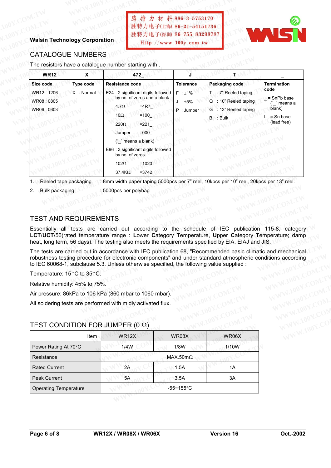### **Walsin Technology Corporation**

**WWW.100Y.COM.TW WWW.100Y.COM.TW WWW.100Y.COM.TW WWW.100Y.COM.TW WWW.100Y.COM.TW WWW.100Y.COM.TW WWW.100Y.COM.TW WWW.100Y.COM.TW WWW.100Y.COM.TW WWW.100Y.COM.TW WWW.100Y.COM.TW WWW.100Y.COM.TW WWW.100Y.COM.TW WWW.100Y.COM.TW WWW.100Y.COM.TW**



### CATALOGUE NUMBERS

| <b>Walsin Technology Corporation</b><br><b>CATALOGUE NUMBERS</b><br>The resistors have a catalogue number starting with.                                                                       |                         |                                                                                                               | 胜特力电子(深圳 86-755-83298787<br>Http://www. 100y. com. tw                                                                                                                                                               |                                                              |          |                                                                                         |                                                                                                       |
|------------------------------------------------------------------------------------------------------------------------------------------------------------------------------------------------|-------------------------|---------------------------------------------------------------------------------------------------------------|---------------------------------------------------------------------------------------------------------------------------------------------------------------------------------------------------------------------|--------------------------------------------------------------|----------|-----------------------------------------------------------------------------------------|-------------------------------------------------------------------------------------------------------|
| <b>WR12</b>                                                                                                                                                                                    | X                       |                                                                                                               | 472                                                                                                                                                                                                                 | Л.                                                           |          | т                                                                                       |                                                                                                       |
| Size code<br>WR12:1206<br>WR08:0805<br>WR06:0603                                                                                                                                               | Type code<br>X : Normal | <b>Resistance code</b><br>$4.7\Omega$<br>10 $\Omega$<br>$220\Omega$<br>Jumper<br>$102\Omega$<br>$37.4K\Omega$ | E24 : 2 significant digits followed<br>by no. of zeros and a blank<br>$=4R7$<br>$=100$<br>$= 221$<br>$=000$<br>("_" means a blank)<br>E96 : 3 significant digits followed<br>by no. of zeros<br>$=1020$<br>$= 3742$ | <b>Tolerance</b><br>$F : \pm 1\%$<br>$J : ±5\%$<br>P: Jumper | B : Bulk | Packaging code<br>T: 7" Reeled taping<br>Q : 10" Reeled taping<br>G : 13" Reeled taping | <b>Termination</b><br>code<br>$=$ SnPb base<br>("_" means a<br>blank)<br>$L =$ Sn base<br>(lead free) |
| Reeled tape packaging<br>1.1<br><b>Bulk packaging</b><br>2.<br><b>TEST AND REQUIREMENTS</b><br>LCT/UCT/56(rated temperature range: Lower Category Temperature, Upper Category Temperature; dam |                         | 5000pcs per polybag                                                                                           | : 8mm width paper taping 5000pcs per 7" reel, 10kpcs per 10" reel, 20kpcs per 13" reel.<br>Essentially all tests are carried out according to the schedule of IEC publication 115-8, categor                        |                                                              |          |                                                                                         |                                                                                                       |

- 2. Bulk packaging : 5000pcs per polybag
- 

### TEST AND REQUIREMENTS

Essentially all tests are carried out according to the schedule of IEC publication 115-8, category **LCT**/**UCT**/56(rated temperature range : **L**ower **C**ategory **T**emperature, **U**pper **C**ategory **T**emperature; damp heat, long term, 56 days). The testing also meets the requirements specified by EIA, EIAJ and JIS. **WWW.100Y.COM.TW WWW.100Y.COM.TW WWW.100Y.COM.TW Example 180 and 180 and 180 and 180 and 180 and 180 and 180 and 180 and 180 and 180 and 180 and 180 and 180 and 180 and 180 and 180 and 180 and 180 and 180 and 180 and 180 and 180 and 180 and 180 and 180 and 180 and 180 a** 

The tests are carried out in accordance with IEC publication 68, "Recommended basic climatic and mechanical robustness testing procedure for electronic components" and under standard atmospheric conditions according to IEC 60068-1, subclause 5.3. Unless otherwise specified, the following value supplied : **EQUIREMENTS**<br> **WWW.100Y.COM.TW <br>
REQUIREMENTS**<br> **WEREQUIREMENTS**<br> **WEREQUIREMENTS**<br> **WEREQUIREMENTS**<br> **WEREQUIREMENTS**<br> **WEREQUIREMENTS**<br> **ESSENT AND A COMPLISION COMPTIME AND A COMPTAINE:**<br> **WERE A TOMAGE AND A COMPOSITI EQUIREMENTS**<br> **EQUIREMENTS**<br> **EQUIREMENTS**<br> **EQUIREMENTS**<br> **ERS**<br> **ERS**<br> **EXECUTEMENTS**<br> **EXECUTEMENTS**<br> **EXECUTEMENTS**<br> **EXECUTEMENTS**<br> **EXECUTEMENTS**<br> **EXECUTEMENTS**<br> **EXECUTEMENTS**<br> **EXECUTEMENTS**<br> **EXECUTEMENTS**<br> **EXE EQUIREMENTS**<br>
Sests are carried out according to the schedule of IEC publication 115-8, category<br>
demperature range : Lower Category Temperature, Upper Category Temperature; damp<br>
6 days). The testing also meets the requi **WUREMENTS**<br>sts are carried out according to the schedule of IEC publication 115-8, category<br>temperature range : Lower Category Temperature, Upper Category Temperature; damp<br>days). The testing also meets the requirements s **EXECUTE:** The carried out according to the schedule of IEC publication 115-8, category<br> **EXECUTE:** External and any any S). The testing also meets the requirements specified by EIA, EIAJ and JIS.<br> **If out in accordance wi** mperature range : Lower Category Temperature, Upper Category Temperature; damp<br>
wish. The testing also meets the requirements specified by EIA, EIAJ and JIS.<br>
out in accordance with IEC publication 68, "Recommended basic c **EXECUTE:** THE COM.TW **EXECUTE:** THE COM.TW **EXECUTE:** THE COM.TW **EXECUTE:** THE COM.TW **EXECUTE:** THE COM.TW **EXECUTE:** THE COM.TW **EXECUTE:** THE COM.TW **EXECUTE:** THE COM.TW **EXECUTE:** THE COM.TW **EXECUTE:** THE COM.TW **EXECUTE: SOLUTION: COM.TW 100Y.COM.TW COM.TW COM.TW COM.TW COM.TW COM.TW COM.TW COM.TW COM.TW COM.TW COM.TW COM.TW COM.TW COM.TW COM.TW COM.TW COM.TW COM.TW COM.TW COM.TW COM.TW COM.TW COM.TW COM.TW COM.TW COM.TW COM.TW** 

### TEST CONDITION FOR JUMPER (0 Ω)

| to TEC 60068-1, subclause 5.3. Unless otherwise specified, the following value supplied : |              |                 |       |
|-------------------------------------------------------------------------------------------|--------------|-----------------|-------|
| Temperature: 15°C to 35°C.                                                                |              |                 |       |
| Relative humidity: 45% to 75%.                                                            |              |                 |       |
| Air pressure: 86kPa to 106 kPa (860 mbar to 1060 mbar).                                   |              |                 |       |
| All soldering tests are performed with midly activated flux.                              |              |                 |       |
|                                                                                           |              |                 |       |
| TEST CONDITION FOR JUMPER (0 $\Omega$ )                                                   |              |                 |       |
| Item                                                                                      | <b>WR12X</b> | WR08X           | WR06X |
| Power Rating At 70°C                                                                      | 1/4W         | 1/8W            | 1/10W |
| Resistance                                                                                |              | $MAX.50m\Omega$ |       |
| <b>Rated Current</b>                                                                      | 2A           | 1.5A            | 1A    |
| Peak Current                                                                              | 5A           | 3.5A            | 3A    |
| <b>Operating Temperature</b>                                                              |              | $-55$ ~155°C    |       |
|                                                                                           |              |                 |       |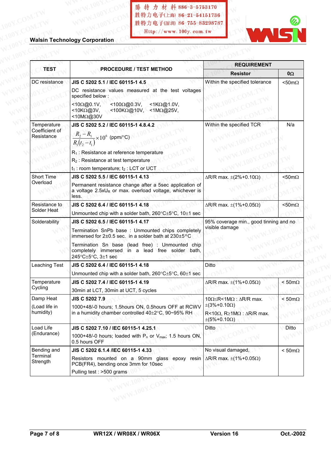勝特力科技 886-3-5753170 百年電子86-755-83289224 **Http://www.100y.com.tw .100Y.COM.TW WWW.100Y.COM. 勝特力电子(上海) 86-21-5415173**<br>100Y.COM.TW WWW.100Y.COM 胜特力电子(上海) 86-21-5415173<br>100Y.COM.TW WWW.100Y.COM 胜特力电子(深圳 86-755-832987 **WWW.100Y.COM.TW WWW.100Y.COM.TW WWW.100Y.COM.TW .00Y.COM.TW WWW.100Y.COM. 勝特力电子(## 86-21-54151736**<br>100Y.COM.TW WWW.100Y.COM<br>#特力电子(## 96-755-83298787<br>W.100Y.COM.TW WWW.100Y.COM.TW Http://www.100y.com.tw **WWW.100Y.COM.TW WWW.100Y.COM.TW WWW.100Y.COM.TW WWW.100Y.COM.TW WWW.100Y.COM.TW WWW.100Y.COM.TW WWW.100Y.COM.TW WWW.100Y.COM.TW WWW.100Y.COM.TW WWW.100Y.COM.TW WWW.100Y.COM.TW WWW.100Y.COM.TW WWW.100Y.COM.TW WWW.100Y.COM** 

|                                             | 胜特力电子(上海) 86-21-54151736<br>胜特力电子(深圳 86-755-83298787<br>Http://www.100y.com.tw                                                                                                                                                                                                      |                                                                                                                                                           |                       |
|---------------------------------------------|-------------------------------------------------------------------------------------------------------------------------------------------------------------------------------------------------------------------------------------------------------------------------------------|-----------------------------------------------------------------------------------------------------------------------------------------------------------|-----------------------|
|                                             | <b>Walsin Technology Corporation</b>                                                                                                                                                                                                                                                |                                                                                                                                                           |                       |
| <b>TEST</b>                                 | <b>PROCEDURE / TEST METHOD</b>                                                                                                                                                                                                                                                      | <b>REQUIREMENT</b>                                                                                                                                        |                       |
| DC resistance                               | JIS C 5202 5.1 / IEC 60115-1 4.5                                                                                                                                                                                                                                                    | <b>Resistor</b>                                                                                                                                           | $0\Omega$             |
|                                             | DC resistance values measured at the test voltages<br>specified below:<br><100Ω@0.3V,<br>$<$ 1K $\Omega$ @1.0V,<br>$<10\Omega$ @0.1V,<br><10KΩ@3V,<br>$<$ 100K $\Omega$ @10V,<br><1MΩ@25V,<br><10MΩ@30V                                                                             | Within the specified tolerance                                                                                                                            | $<$ 50m $\Omega$      |
| Temperature<br>Coefficient of<br>Resistance | JIS C 5202 5.2 / IEC 60115-1 4.8.4.2<br>$\frac{R_2 - R_1}{R_1(t_2 - t_1)} \times 10^6$ (ppm/°C)<br>$R_1$ : Resistance at reference temperature<br>$R_2$ : Resistance at test temperature<br>$t_1$ : room temperature; $t_2$ : LCT or UCT                                            | Within the specified TCR                                                                                                                                  | N/a                   |
| Short Time<br>Overload                      | JIS C 5202 5.5 / IEC 60115-1 4.13<br>Permanent resistance change after a 5sec application of<br>a voltage $2.5xU_R$ or max. overload voltage, whichever is<br>less.                                                                                                                 | $\Delta$ R/R max. $\pm$ (2%+0.10 $\Omega$ )                                                                                                               | $<$ 50m $\Omega$      |
| Resistance to<br>Solder Heat                | JIS C 5202 6.4 / IEC 60115-1 4.18<br>Unmounted chip with a solder bath, 260°C±5°C, 10±1 sec                                                                                                                                                                                         | $\Delta$ R/R max. $\pm$ (1%+0.05 $\Omega$ )                                                                                                               | $<$ 50m $\Omega$      |
| Solderability                               | JIS C 5202 6.5 / IEC 60115-1 4.17<br>Termination SnPb base: Unmounted chips completely<br>immersed for $2\pm0.5$ sec. in a solder bath at $230\pm5$ °C<br>Termination Sn base (lead free) : Unmounted chip<br>completely immersed in a lead free solder bath,<br>245°C±5°C, 3±1 sec | 95% coverage min., good tinning and no<br>visible damage                                                                                                  |                       |
| Leaching Test                               | JIS C 5202 6.4 / IEC 60115-1 4.18<br>Unmounted chip with a solder bath, 260°C±5°C, 60±1 sec                                                                                                                                                                                         | Ditto                                                                                                                                                     |                       |
| Temperature<br>Cycling                      | JIS C 5202 7.4 / IEC 60115-1 4.19<br>30min at LCT, 30min at UCT, 5 cycles                                                                                                                                                                                                           | $\Delta$ R/R max. $\pm$ (1%+0.05 $\Omega$ )                                                                                                               | $< 50 \text{m}\Omega$ |
| Damp Heat<br>(Load life in<br>humidity)     | <b>JIS C 5202 7.9</b><br>1000+48/-0 hours; 1.5hours ON, 0.5hours OFF at RCWV<br>in a humidity chamber controlled 40±2°C, 90~95% RH                                                                                                                                                  | $10\Omega \le R < 1 M\Omega$ : $\Delta R/R$ max.<br>$\pm(3\% + 0.10\Omega)$<br>R<10 $\Omega$ , R≥1M $\Omega$ : $\Delta$ R/R max.<br>$\pm(5\%+0.10\Omega)$ | $< 50 \text{m}\Omega$ |
| Load Life<br>(Endurance)                    | JIS C 5202 7.10 / IEC 60115-1 4.25.1<br>1000+48/-0 hours; loaded with $P_n$ or $V_{max}$ ; 1.5 hours ON,<br>0.5 hours OFF                                                                                                                                                           | Ditto                                                                                                                                                     | Ditto                 |
| Bending and<br>Terminal<br>Strength         | JIS C 5202 6.1.4 / IEC 60115-1 4.33<br>Resistors mounted on a 90mm glass epoxy resin $\Delta R/R$ max. $\pm (1\% + 0.05\Omega)$<br>PCB(FR4), bending once 3mm for 10sec<br>Pulling test : >500 grams                                                                                | No visual damaged,                                                                                                                                        | $< 50 \text{m}\Omega$ |